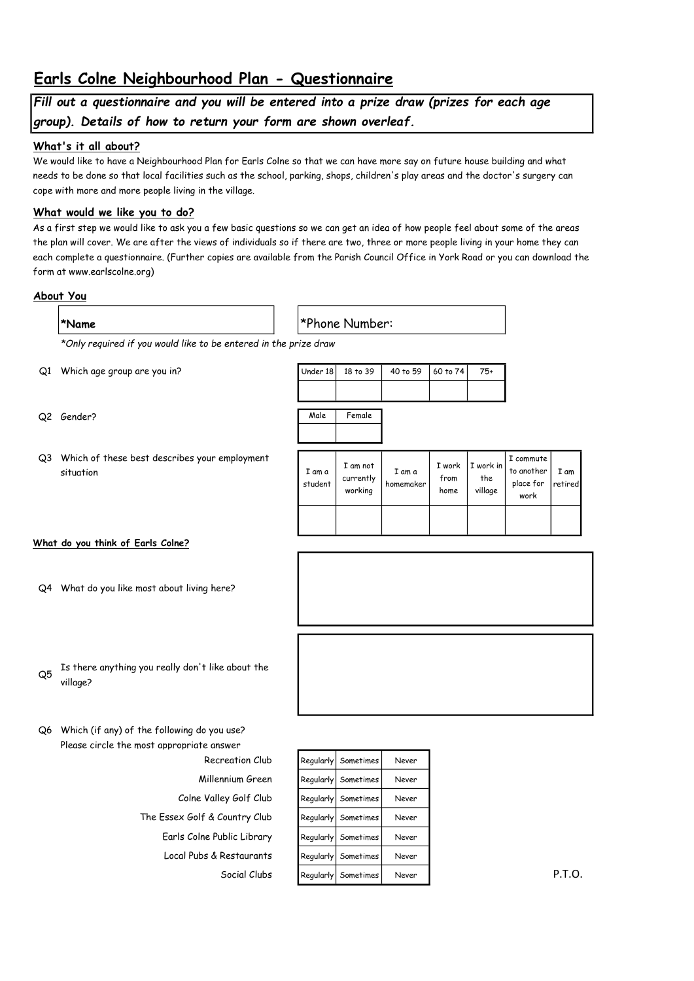# Earls Colne Neighbourhood Plan - Questionnaire

## Fill out a questionnaire and you will be entered into a prize draw (prizes for each age group). Details of how to return your form are shown overleaf.

### What's it all about?

We would like to have a Neighbourhood Plan for Earls Colne so that we can have more say on future house building and what needs to be done so that local facilities such as the school, parking, shops, children's play areas and the doctor's surgery can cope with more and more people living in the village.

## What would we like you to do?

As a first step we would like to ask you a few basic questions so we can get an idea of how people feel about some of the areas the plan will cover. We are after the views of individuals so if there are two, three or more people living in your home they can each complete a questionnaire. (Further copies are available from the Parish Council Office in York Road or you can download the form at www.earlscolne.org)

### About You

| *Name                                                            | *Phone Number: |
|------------------------------------------------------------------|----------------|
| *Only required if you would like to be entered in the prize draw |                |

Q1 Which age group are you in?

- Q2 Gender?
- Q3 Which of these best describes your employment situation

| Male              | Female                           |                     |                        |                             |                                                      |
|-------------------|----------------------------------|---------------------|------------------------|-----------------------------|------------------------------------------------------|
| I am a<br>student | I am not<br>currently<br>working | I am a<br>homemaker | I work<br>from<br>home | I work in<br>the<br>village | I commute<br>to another<br>place for<br>الملحب حاددت |

Under 18 18 to 39 40 to 59 60 to 74  $75+$ 

#### What do you think of Earls Colne?

- Q4 What do you like most about living here?
- 

work

I am retired

- Q5 Is there anything you really don't like about the village?
- Q6 Which (if any) of the following do you use? Please circle the most appropriate answer
	- The Essex Golf & Country Club Regularly Sometimes Never Earls Colne Public Library  $\begin{array}{|c|c|c|c|c|c|}\n\hline\n\text{Rcals} & \text{Sometric} & \text{Never}\n\end{array}$
- Recreation Club Regularly Sometimes Never Millennium Green Regularly Sometimes Never Colne Valley Golf Club Regularly Sometimes Never Local Pubs & Restaurants Regularly Sometimes Never Social Clubs Regularly Sometimes Never Never P.T.O.